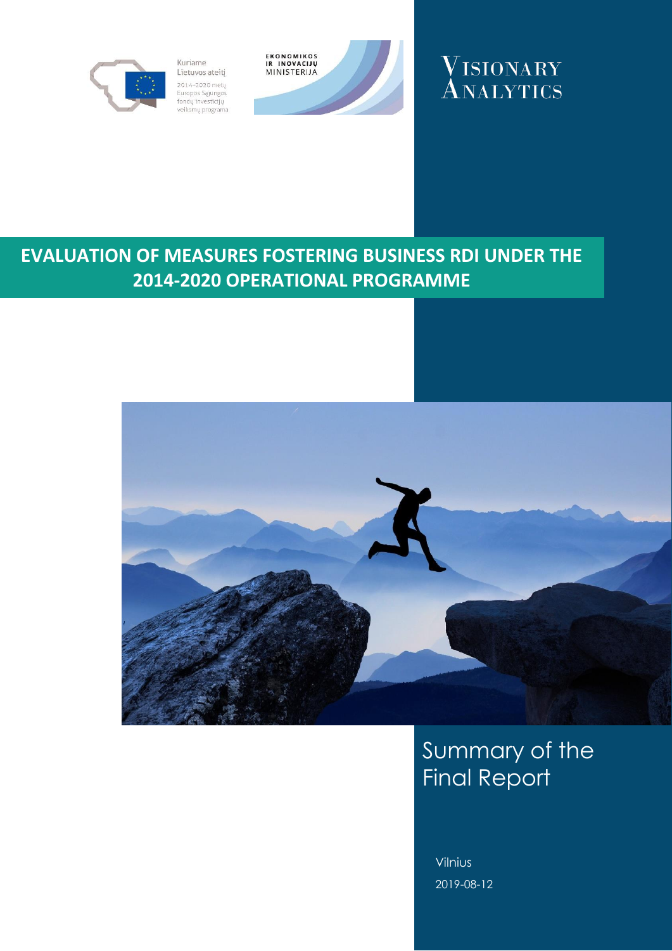

Kuriame Lietuvos ateitį 2014-2020 metų 2014–2020 metų<br>Europos Sąjungos<br>fondų investicijų<br>veiksmų programa





# **EVALUATION OF MEASURES FOSTERING BUSINESS RDI UNDER THE 2014-2020 OPERATIONAL PROGRAMME**



# Summary of the Final Report

Vilnius 2019-08-12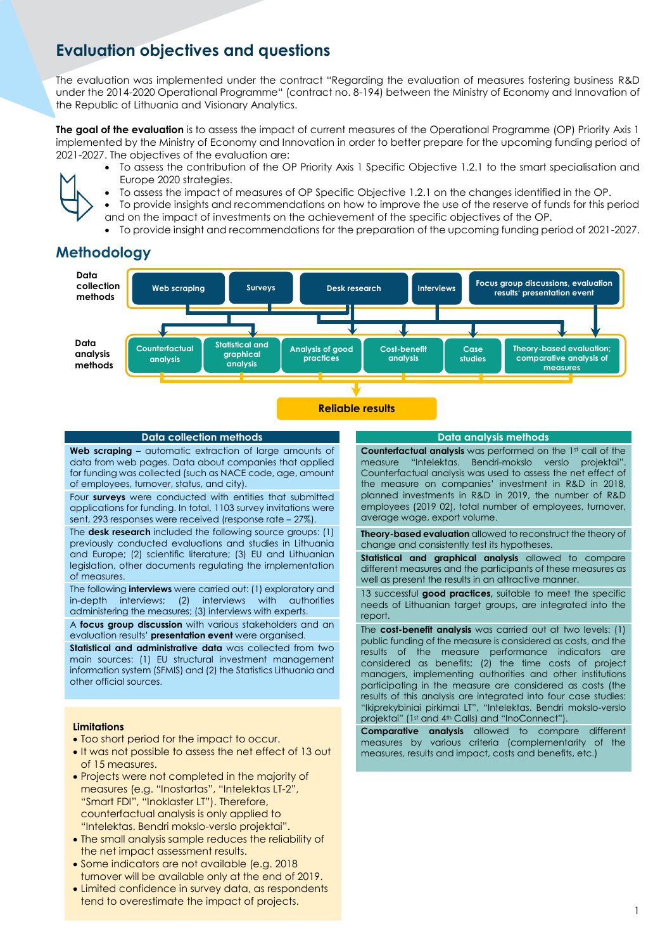# **Evaluation objectives and questions**

The evaluation was implemented under the contract "Regarding the evaluation of measures fostering business R&D under the 2014-2020 Operational Programme" (contract no. 8-194) between the Ministry of Economy and Innovation of the Republic of Lithuania and Visionary Analytics.

**The goal of the evaluation** is to assess the impact of current measures of the Operational Programme (OP) Priority Axis 1 implemented by the Ministry of Economy and Innovation in order to better prepare for the upcoming funding period of 2021-2027. The objectives of the evaluation are:

- To assess the contribution of the OP Priority Axis 1 Specific Objective 1.2.1 to the smart specialisation and Europe 2020 strategies.
- To assess the impact of measures of OP Specific Objective 1.2.1 on the changes identified in the OP.
- To provide insights and recommendations on how to improve the use of the reserve of funds for this period
- and on the impact of investments on the achievement of the specific objectives of the OP. • To provide insight and recommendations for the preparation of the upcoming funding period of 2021-2027.

# **Methodology**



### **Reliable results**

### **Data collection methods**

**Web scraping –** automatic extraction of large amounts of data from web pages. Data about companies that applied for funding was collected (such as NACE code, age, amount of employees, turnover, status, and city).

Four **surveys** were conducted with entities that submitted applications for funding. In total, 1103 survey invitations were sent, 293 responses were received (response rate – 27%).

The **desk research** included the following source groups: (1) previously conducted evaluations and studies in Lithuania and Europe; (2) scientific literature; (3) EU and Lithuanian legislation, other documents regulating the implementation of measures.

The following **interviews** were carried out: (1) exploratory and in-depth interviews; (2) interviews with authorities administering the measures; (3) interviews with experts.

A **focus group discussion** with various stakeholders and an evaluation results' **presentation event** were organised.

**Statistical and administrative data** was collected from two main sources: (1) EU structural investment management information system (SFMIS) and (2) the Statistics Lithuania and other official sources.

### **Limitations**

- Too short period for the impact to occur.
- It was not possible to assess the net effect of 13 out of 15 measures.
- Projects were not completed in the majority of measures (e.g. "Inostartas", "Intelektas LT-2", "Smart FDI", "Inoklaster LT"). Therefore, counterfactual analysis is only applied to "Intelektas. Bendri mokslo-verslo projektai".
- The small analysis sample reduces the reliability of the net impact assessment results.
- Some indicators are not available (e.g. 2018 turnover will be available only at the end of 2019.
- Limited confidence in survey data, as respondents tend to overestimate the impact of projects.

### **Data analysis methods**

**Counterfactual analysis** was performed on the 1st call of the measure "Intelektas. Bendri-mokslo verslo projektai". Counterfactual analysis was used to assess the net effect of the measure on companies' investment in R&D in 2018, planned investments in R&D in 2019, the number of R&D employees (2019 02), total number of employees, turnover, average wage, export volume.

**Theory-based evaluation** allowed to reconstruct the theory of change and consistently test its hypotheses.

**Statistical and graphical analysis** allowed to compare different measures and the participants of these measures as well as present the results in an attractive manner.

13 successful **good practices,** suitable to meet the specific needs of Lithuanian target groups, are integrated into the report.

The **cost-benefit analysis** was carried out at two levels: (1) public funding of the measure is considered as costs, and the results of the measure performance indicators are considered as benefits; (2) the time costs of project managers, implementing authorities and other institutions participating in the measure are considered as costs (the results of this analysis are integrated into four case studies: "Ikiprekybiniai pirkimai LT", "Intelektas. Bendri mokslo-verslo projektai" (1st and 4th Calls) and "InoConnect").

**Comparative analysis** allowed to compare different measures by various criteria (complementarity of the measures, results and impact, costs and benefits, etc.)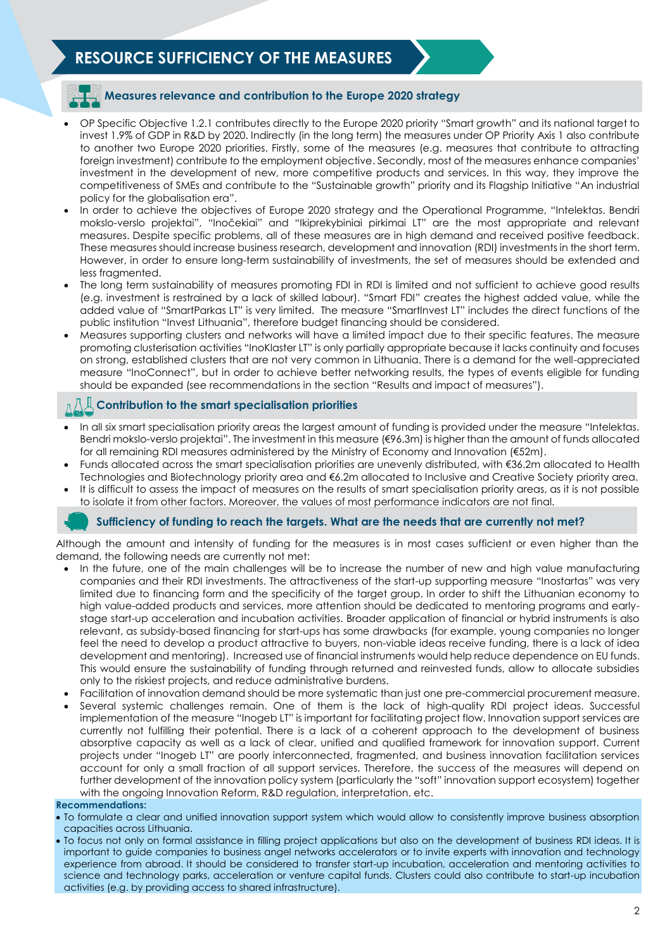# **RESOURCE SUFFICIENCY OF THE MEASURES**

## **Measures relevance and contribution to the Europe 2020 strategy**

- OP Specific Objective 1.2.1 contributes directly to the Europe 2020 priority "Smart growth" and its national target to invest 1.9% of GDP in R&D by 2020. Indirectly (in the long term) the measures under OP Priority Axis 1 also contribute to another two Europe 2020 priorities. Firstly, some of the measures (e.g. measures that contribute to attracting foreign investment) contribute to the employment objective. Secondly, most of the measures enhance companies' investment in the development of new, more competitive products and services. In this way, they improve the competitiveness of SMEs and contribute to the "Sustainable growth" priority and its Flagship Initiative "An industrial policy for the globalisation era".
- In order to achieve the objectives of Europe 2020 strategy and the Operational Programme, "Intelektas. Bendri mokslo-verslo projektai", "Inočekiai" and "Ikiprekybiniai pirkimai LT" are the most appropriate and relevant measures. Despite specific problems, all of these measures are in high demand and received positive feedback. These measures should increase business research, development and innovation (RDI) investments in the short term. However, in order to ensure long-term sustainability of investments, the set of measures should be extended and less fragmented.
- The long term sustainability of measures promoting FDI in RDI is limited and not sufficient to achieve good results (e.g. investment is restrained by a lack of skilled labour). "Smart FDI" creates the highest added value, while the added value of "SmartParkas LT" is very limited. The measure "SmartInvest LT" includes the direct functions of the public institution "Invest Lithuania", therefore budget financing should be considered.
- Measures supporting clusters and networks will have a limited impact due to their specific features. The measure promoting clusterisation activities "InoKlaster LT" is only partially appropriate because it lacks continuity and focuses on strong, established clusters that are not very common in Lithuania. There is a demand for the well-appreciated measure "InoConnect", but in order to achieve better networking results, the types of events eligible for funding should be expanded (see recommendations in the section "Results and impact of measures").

## **Contribution to the smart specialisation priorities**

- In all six smart specialisation priority areas the largest amount of funding is provided under the measure "Intelektas. Bendri mokslo-verslo projektai". The investment in this measure (€96.3m) is higher than the amount of funds allocated for all remaining RDI measures administered by the Ministry of Economy and Innovation (€52m).
- Funds allocated across the smart specialisation priorities are unevenly distributed, with €36.2m allocated to Health Technologies and Biotechnology priority area and €6.2m allocated to Inclusive and Creative Society priority area.
- It is difficult to assess the impact of measures on the results of smart specialisation priority areas, as it is not possible to isolate it from other factors. Moreover, the values of most performance indicators are not final.

### **Sufficiency of funding to reach the targets. What are the needs that are currently not met?**

Although the amount and intensity of funding for the measures is in most cases sufficient or even higher than the demand, the following needs are currently not met:

- In the future, one of the main challenges will be to increase the number of new and high value manufacturing companies and their RDI investments. The attractiveness of the start-up supporting measure "Inostartas" was very limited due to financing form and the specificity of the target group. In order to shift the Lithuanian economy to high value-added products and services, more attention should be dedicated to mentoring programs and earlystage start-up acceleration and incubation activities. Broader application of financial or hybrid instruments is also relevant, as subsidy-based financing for start-ups has some drawbacks (for example, young companies no longer feel the need to develop a product attractive to buyers, non-viable ideas receive funding, there is a lack of idea development and mentoring). Increased use of financial instruments would help reduce dependence on EU funds. This would ensure the sustainability of funding through returned and reinvested funds, allow to allocate subsidies only to the riskiest projects, and reduce administrative burdens.
- Facilitation of innovation demand should be more systematic than just one pre-commercial procurement measure.
- Several systemic challenges remain. One of them is the lack of high-quality RDI project ideas. Successful implementation of the measure "Inogeb LT" is important for facilitating project flow. Innovation support services are currently not fulfilling their potential. There is a lack of a coherent approach to the development of business absorptive capacity as well as a lack of clear, unified and qualified framework for innovation support. Current projects under "Inogeb LT" are poorly interconnected, fragmented, and business innovation facilitation services account for only a small fraction of all support services. Therefore, the success of the measures will depend on further development of the innovation policy system (particularly the "soft" innovation support ecosystem) together with the ongoing Innovation Reform, R&D regulation, interpretation, etc.

### **Recommendations:**

- To formulate a clear and unified innovation support system which would allow to consistently improve business absorption capacities across Lithuania.
- To focus not only on formal assistance in filling project applications but also on the development of business RDI ideas. It is important to guide companies to business angel networks accelerators or to invite experts with innovation and technology experience from abroad. It should be considered to transfer start-up incubation, acceleration and mentoring activities to science and technology parks, acceleration or venture capital funds. Clusters could also contribute to start-up incubation activities (e.g. by providing access to shared infrastructure).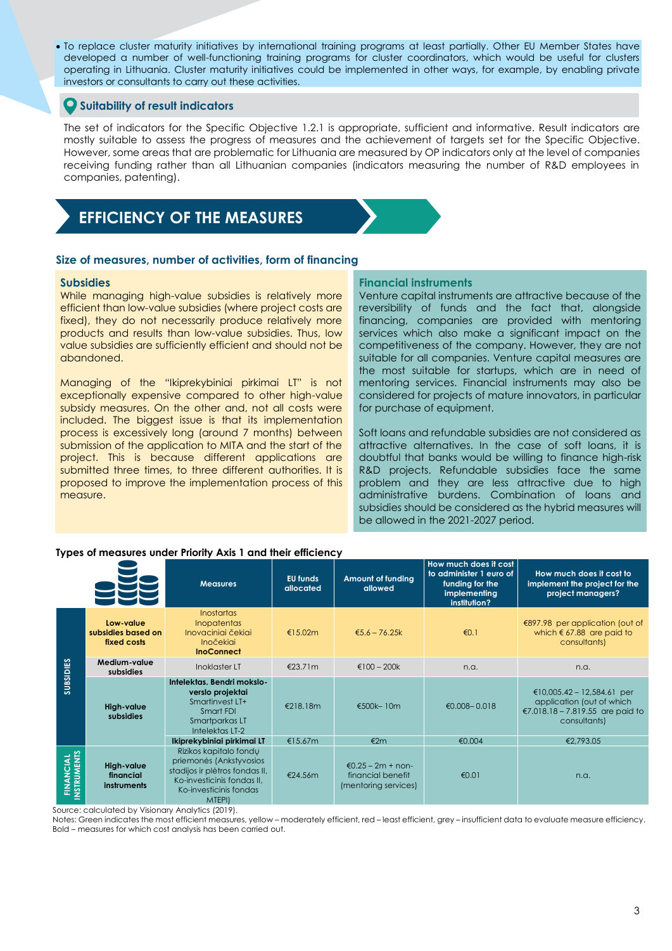To replace cluster maturity initiatives by international training programs at least partially. Other EU Member States have developed a number of well-functioning training programs for cluster coordinators, which would be useful for clusters operating in Lithuania. Cluster maturity initiatives could be implemented in other ways, for example, by enabling private investors or consultants to carry out these activities.

### **Suitability of result indicators**

The set of indicators for the Specific Objective 1.2.1 is appropriate, sufficient and informative. Result indicators are mostly suitable to assess the progress of measures and the achievement of targets set for the Specific Objective. However, some areas that are problematic for Lithuania are measured by OP indicators only at the level of companies receiving funding rather than all Lithuanian companies (indicators measuring the number of R&D employees in companies, patenting).

# **EFFICIENCY OF THE MEASURES**

### **Size of measures, number of activities, form of financing**

### **Subsidies**

While managing high-value subsidies is relatively more efficient than low-value subsidies (where project costs are fixed), they do not necessarily produce relatively more products and results than low-value subsidies. Thus, low value subsidies are sufficiently efficient and should not be abandoned.

Managing of the "Ikiprekybiniai pirkimai LT" is not exceptionally expensive compared to other high-value subsidy measures. On the other and, not all costs were included. The biggest issue is that its implementation process is excessively long (around 7 months) between submission of the application to MITA and the start of the project. This is because different applications are submitted three times, to three different authorities. It is proposed to improve the implementation process of this measure.

### **Financial instruments**

Venture capital instruments are attractive because of the reversibility of funds and the fact that, alongside financing, companies are provided with mentoring services which also make a significant impact on the competitiveness of the company. However, they are not suitable for all companies. Venture capital measures are the most suitable for startups, which are in need of mentoring services. Financial instruments may also be considered for projects of mature innovators, in particular for purchase of equipment.

Soft loans and refundable subsidies are not considered as attractive alternatives. In the case of soft loans, it is doubtful that banks would be willing to finance high-risk R&D projects. Refundable subsidies face the same problem and they are less attractive due to high administrative burdens. Combination of loans and subsidies should be considered as the hybrid measures will be allowed in the 2021-2027 period.

### **Types of measures under Priority Axis 1 and their efficiency**

|                                 |                                                | <b>Measures</b>                                                                                                                                       | <b>EU</b> funds<br>allocated | <b>Amount of funding</b><br>allowed                              | How much does it cost<br>to administer 1 euro of<br>funding for the<br>implementing<br>institution? | How much does it cost to<br>implement the project for the<br>project managers?                              |
|---------------------------------|------------------------------------------------|-------------------------------------------------------------------------------------------------------------------------------------------------------|------------------------------|------------------------------------------------------------------|-----------------------------------------------------------------------------------------------------|-------------------------------------------------------------------------------------------------------------|
| SUBSIDIES                       | Low-value<br>subsidies based on<br>fixed costs | <b>Inostartas</b><br><b>Inopatentas</b><br>Inovaciniai čekiai<br><b>Inočekiai</b><br><b>InoConnect</b>                                                | €15.02m                      | € $5.6 - 76.25k$                                                 | €0.1                                                                                                | €897.98 per application (out of<br>which $67.88$ are paid to<br>consultants)                                |
|                                 | Medium-value<br>subsidies                      | Inoklaster LT                                                                                                                                         | €23.71 $m$                   | €100 - 200 $k$                                                   | n.a.                                                                                                | n.a.                                                                                                        |
|                                 | High-value<br>subsidies                        | Intelektas. Bendri mokslo-<br>verslo projektai<br>Smartinvest LT+<br>Smart FDI<br>Smartparkas LT<br>Intelektas LT-2                                   | €218.18m                     | €500k-10m                                                        | €0.008 - 0.018                                                                                      | €10,005.42 – 12,584.61 per<br>application (out of which<br>€7.018.18 – 7.819.55 are paid to<br>consultants) |
|                                 |                                                | Ikiprekybiniai pirkimai LT                                                                                                                            | €15.67m                      | €2m                                                              | €0.004                                                                                              | €2,793.05                                                                                                   |
| <b>FINANCIAL</b><br>INSTRUMENTS | High-value<br>financial<br>instruments         | Rizikos kapitalo fondu<br>priemonės (Ankstyvosios<br>stadijos ir plėtros fondas II,<br>Ko-investicinis fondas II,<br>Ko-investicinis fondas<br>MTEPI) | €24.56 $m$                   | $€0.25 - 2m + non-$<br>financial benefit<br>(mentoring services) | €0.01                                                                                               | n.a.                                                                                                        |

Source: calculated by Visionary Analytics (2019).

Notes: Green indicates the most efficient measures, yellow – moderately efficient, red – least efficient, grey – insufficient data to evaluate measure efficiency. Bold – measures for which cost analysis has been carried out.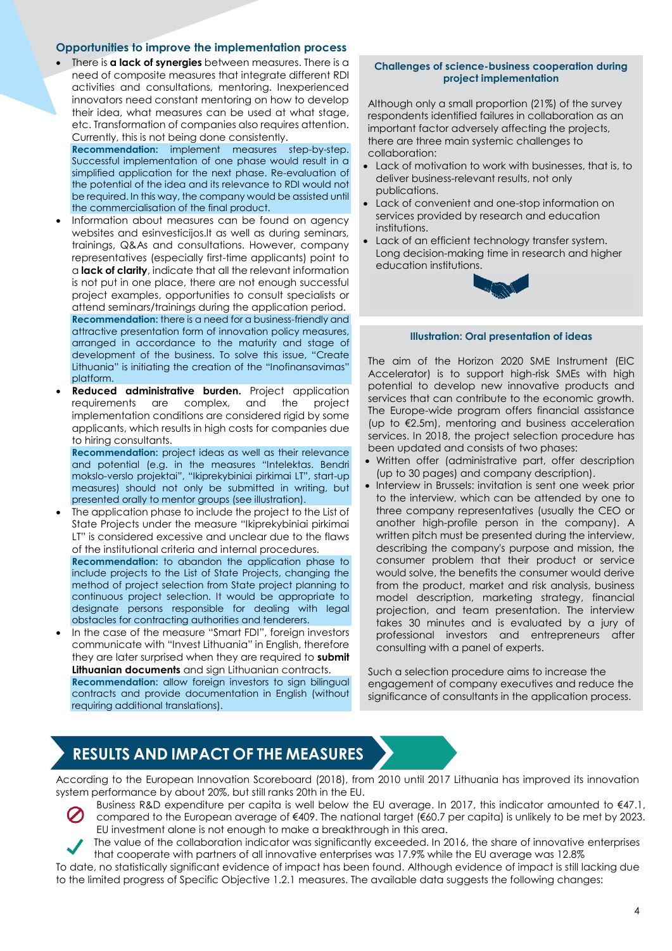### **Opportunities to improve the implementation process**

 There is **a lack of synergies** between measures. There is a need of composite measures that integrate different RDI activities and consultations, mentoring. Inexperienced innovators need constant mentoring on how to develop their idea, what measures can be used at what stage, etc. Transformation of companies also requires attention. Currently, this is not being done consistently.

**Recommendation:** implement measures step-by-step. Successful implementation of one phase would result in a simplified application for the next phase. Re-evaluation of the potential of the idea and its relevance to RDI would not be required. In this way, the company would be assisted until the commercialisation of the final product.

- Information about measures can be found on agency websites and esinvesticijos.lt as well as during seminars, trainings, Q&As and consultations. However, company representatives (especially first-time applicants) point to a **lack of clarity**, indicate that all the relevant information is not put in one place, there are not enough successful project examples, opportunities to consult specialists or attend seminars/trainings during the application period. **Recommendation:** there is a need for a business-friendly and attractive presentation form of innovation policy measures, arranged in accordance to the maturity and stage of development of the business. To solve this issue, "Create Lithuania" is initiating the creation of the "Inofinansavimas" platform.
- **Reduced administrative burden.** Project application requirements are complex, and the project implementation conditions are considered rigid by some applicants, which results in high costs for companies due to hiring consultants.

**Recommendation:** project ideas as well as their relevance and potential (e.g. in the measures "Intelektas. Bendri mokslo-verslo projektai", "Ikiprekybiniai pirkimai LT", start-up measures) should not only be submitted in writing, but presented orally to mentor groups (see illustration).

 The application phase to include the project to the List of State Projects under the measure "Ikiprekybiniai pirkimai LT" is considered excessive and unclear due to the flaws of the institutional criteria and internal procedures. **Recommendation:** to abandon the application phase to include projects to the List of State Projects, changing the method of project selection from State project planning to continuous project selection. It would be appropriate to designate persons responsible for dealing with legal obstacles for contracting authorities and tenderers.

 In the case of the measure "Smart FDI", foreign investors communicate with "Invest Lithuania" in English, therefore they are later surprised when they are required to **submit Lithuanian documents** and sign Lithuanian contracts. **Recommendation:** allow foreign investors to sign bilingual contracts and provide documentation in English (without requiring additional translations).

### **Challenges of science-business cooperation during project implementation**

Although only a small proportion (21%) of the survey respondents identified failures in collaboration as an important factor adversely affecting the projects, there are three main systemic challenges to collaboration:

- Lack of motivation to work with businesses, that is, to deliver business-relevant results, not only publications.
- Lack of convenient and one-stop information on services provided by research and education institutions.
- Lack of an efficient technology transfer system. Long decision-making time in research and higher education institutions.



### **Illustration: Oral presentation of ideas**

The aim of the Horizon 2020 SME Instrument (EIC Accelerator) is to support high-risk SMEs with high potential to develop new innovative products and services that can contribute to the economic growth. The Europe-wide program offers financial assistance (up to €2.5m), mentoring and business acceleration services. In 2018, the project selection procedure has been updated and consists of two phases:

- Written offer (administrative part, offer description (up to 30 pages) and company description).
- Interview in Brussels: invitation is sent one week prior to the interview, which can be attended by one to three company representatives (usually the CEO or another high-profile person in the company). A written pitch must be presented during the interview, describing the company's purpose and mission, the consumer problem that their product or service would solve, the benefits the consumer would derive from the product, market and risk analysis, business model description, marketing strategy, financial projection, and team presentation. The interview takes 30 minutes and is evaluated by a jury of professional investors and entrepreneurs after consulting with a panel of experts.

Such a selection procedure aims to increase the engagement of company executives and reduce the significance of consultants in the application process.

# **RESULTS AND IMPACT OF THE MEASURES**

According to the European Innovation Scoreboard (2018), from 2010 until 2017 Lithuania has improved its innovation system performance by about 20%, but still ranks 20th in the EU.

- 
- Business R&D expenditure per capita is well below the EU average. In 2017, this indicator amounted to €47.1, compared to the European average of €409. The national target (€60.7 per capita) is unlikely to be met by 2023. EU investment alone is not enough to make a breakthrough in this area.
	- The value of the collaboration indicator was significantly exceeded. In 2016, the share of innovative enterprises that cooperate with partners of all innovative enterprises was 17.9% while the EU average was 12.8%

To date, no statistically significant evidence of impact has been found. Although evidence of impact is still lacking due to the limited progress of Specific Objective 1.2.1 measures. The available data suggests the following changes: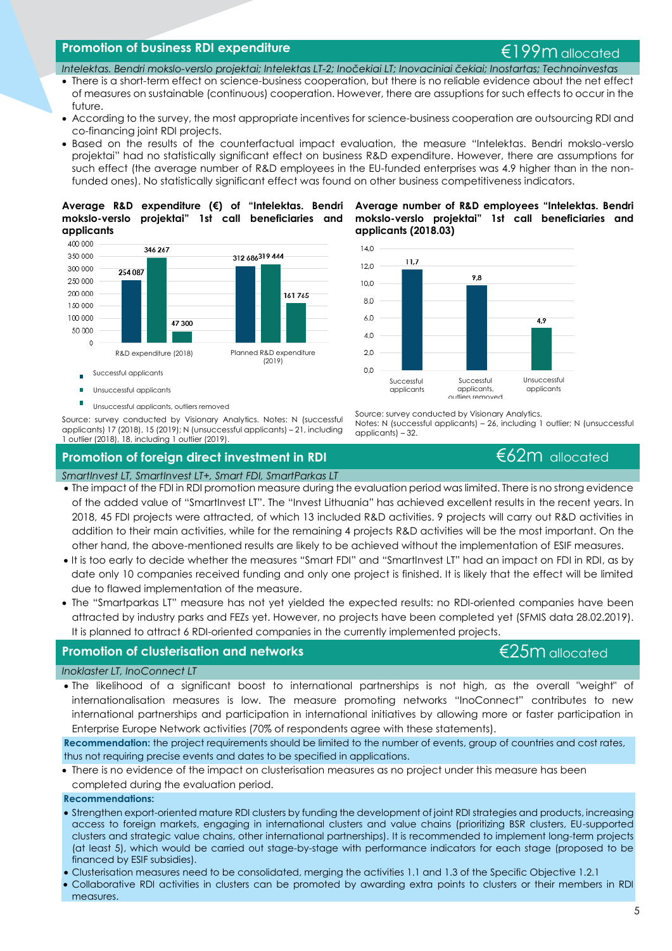## **Promotion of business RDI expenditure** enterprise the set of the set of the set of the set of the set of the set of the set of the set of the set of the set of the set of the set of the set of the set of the set of the s

### *Intelektas. Bendri mokslo-verslo projektai; Intelektas LT-2; Inočekiai LT; Inovaciniai čekiai; Inostartas; Technoinvestas*

- There is a short-term effect on science-business cooperation, but there is no reliable evidence about the net effect of measures on sustainable (continuous) cooperation. However, there are assuptions for such effects to occur in the future.
- According to the survey, the most appropriate incentives for science-business cooperation are outsourcing RDI and co-financing joint RDI projects.
- Based on the results of the counterfactual impact evaluation, the measure "Intelektas. Bendri mokslo-verslo projektai" had no statistically significant effect on business R&D expenditure. However, there are assumptions for such effect (the average number of R&D employees in the EU-funded enterprises was 4.9 higher than in the nonfunded ones). No statistically significant effect was found on other business competitiveness indicators.

 $14.0$ 

 $12,0$ 

10.0

 $8,0$ 

 $6,0$ 

 $4,0$ 

**applicants (2018.03)**

11.7

### **Average R&D expenditure (€) of "Intelektas. Bendri Average number of R&D employees "Intelektas. Bendri mokslo-verslo projektai" 1st call beneficiaries and applicants**



Unsuccessful applicants, outliers removed

Source: survey conducted by Visionary Analytics. Notes: N (successful applicants) 17 (2018), 15 (2019); N (unsuccessful applicants) – 21, including

## 1 outlier (2018), 18, including 1 outlier (2019).

# 4.9



Source: survey conducted by Visionary Analytics.

Notes: N (successful applicants) – 26, including 1 outlier; N (unsuccessful applicants) – 32.

**mokslo-verslo projektai" 1st call beneficiaries and** 

9.8

## **Promotion of foreign direct investment in RDI E62m** allocated

### *SmartInvest LT, SmartInvest LT+, Smart FDI, SmartParkas LT*

- The impact of the FDI in RDI promotion measure during the evaluation period was limited. There is no strong evidence of the added value of "SmartInvest LT". The "Invest Lithuania" has achieved excellent results in the recent years. In 2018, 45 FDI projects were attracted, of which 13 included R&D activities. 9 projects will carry out R&D activities in addition to their main activities, while for the remaining 4 projects R&D activities will be the most important. On the other hand, the above-mentioned results are likely to be achieved without the implementation of ESIF measures.
- It is too early to decide whether the measures "Smart FDI" and "SmartInvest LT" had an impact on FDI in RDI, as by date only 10 companies received funding and only one project is finished. It is likely that the effect will be limited due to flawed implementation of the measure.
- The "Smartparkas LT" measure has not yet yielded the expected results: no RDI-oriented companies have been attracted by industry parks and FEZs yet. However, no projects have been completed yet (SFMIS data 28.02.2019). It is planned to attract 6 RDI-oriented companies in the currently implemented projects.

## **Promotion of clusterisation and networks** and the setting the setting to the E25m allocated

### *Inoklaster LT, InoConnect LT*

 The likelihood of a significant boost to international partnerships is not high, as the overall "weight" of internationalisation measures is low. The measure promoting networks "InoConnect" contributes to new international partnerships and participation in international initiatives by allowing more or faster participation in Enterprise Europe Network activities (70% of respondents agree with these statements).

**Recommendation:** the project requirements should be limited to the number of events, group of countries and cost rates, thus not requiring precise events and dates to be specified in applications.

 There is no evidence of the impact on clusterisation measures as no project under this measure has been completed during the evaluation period.

### **Recommendations:**

- Strengthen export-oriented mature RDI clusters by funding the development of joint RDI strategies and products, increasing access to foreign markets, engaging in international clusters and value chains (prioritizing BSR clusters, EU-supported clusters and strategic value chains, other international partnerships). It is recommended to implement long-term projects (at least 5), which would be carried out stage-by-stage with performance indicators for each stage (proposed to be financed by ESIF subsidies).
- Clusterisation measures need to be consolidated, merging the activities 1.1 and 1.3 of the Specific Objective 1.2.1
- Collaborative RDI activities in clusters can be promoted by awarding extra points to clusters or their members in RDI measures.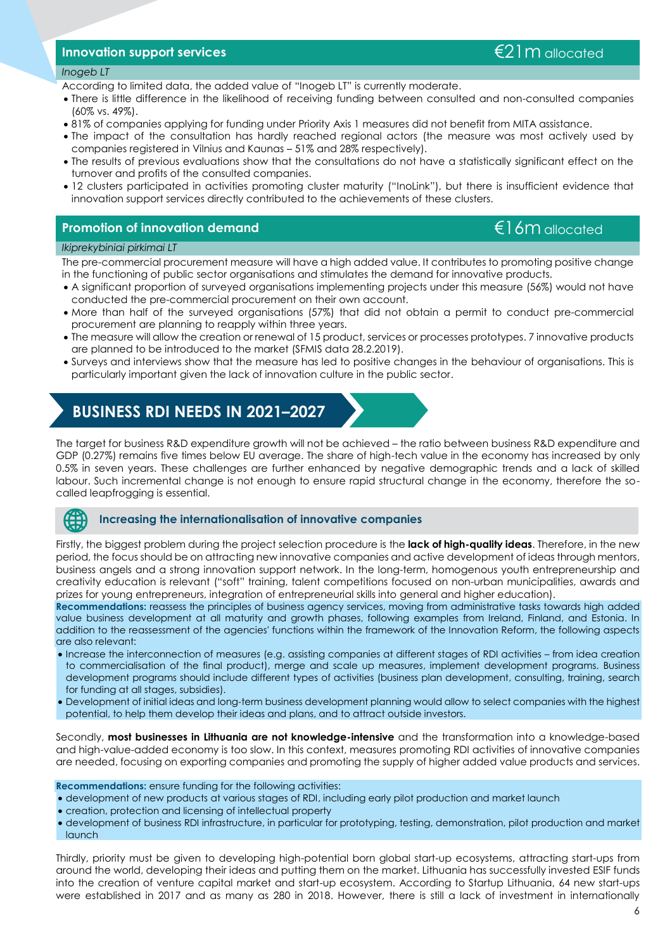### **Innovation support services** €21m allocated

### *Inogeb LT*

According to limited data, the added value of "Inogeb LT" is currently moderate.

- There is little difference in the likelihood of receiving funding between consulted and non-consulted companies (60% vs. 49%).
- 81% of companies applying for funding under Priority Axis 1 measures did not benefit from MITA assistance.
- The impact of the consultation has hardly reached regional actors (the measure was most actively used by companies registered in Vilnius and Kaunas – 51% and 28% respectively).
- The results of previous evaluations show that the consultations do not have a statistically significant effect on the turnover and profits of the consulted companies.
- 12 clusters participated in activities promoting cluster maturity ("InoLink"), but there is insufficient evidence that innovation support services directly contributed to the achievements of these clusters.

# **Promotion of innovation demand and allocated example of the example of the example of the example of the example of the example of the example of the example of the example of the example of the example of the example of**

### *Ikiprekybiniai pirkimai LT*

The pre-commercial procurement measure will have a high added value. It contributes to promoting positive change in the functioning of public sector organisations and stimulates the demand for innovative products.

- A significant proportion of surveyed organisations implementing projects under this measure (56%) would not have conducted the pre-commercial procurement on their own account.
- More than half of the surveyed organisations (57%) that did not obtain a permit to conduct pre-commercial procurement are planning to reapply within three years.
- The measure will allow the creation or renewal of 15 product, services or processes prototypes. 7 innovative products are planned to be introduced to the market (SFMIS data 28.2.2019).
- Surveys and interviews show that the measure has led to positive changes in the behaviour of organisations. This is particularly important given the lack of innovation culture in the public sector.

# **BUSINESS RDI NEEDS IN 2021–2027**

The target for business R&D expenditure growth will not be achieved – the ratio between business R&D expenditure and GDP (0.27%) remains five times below EU average. The share of high-tech value in the economy has increased by only 0.5% in seven years. These challenges are further enhanced by negative demographic trends and a lack of skilled labour. Such incremental change is not enough to ensure rapid structural change in the economy, therefore the socalled leapfrogging is essential.

### **Increasing the internationalisation of innovative companies**

Firstly, the biggest problem during the project selection procedure is the **lack of high-quality ideas**. Therefore, in the new period, the focus should be on attracting new innovative companies and active development of ideas through mentors, business angels and a strong innovation support network. In the long-term, homogenous youth entrepreneurship and creativity education is relevant ("soft" training, talent competitions focused on non-urban municipalities, awards and prizes for young entrepreneurs, integration of entrepreneurial skills into general and higher education).

**Recommendations:** reassess the principles of business agency services, moving from administrative tasks towards high added value business development at all maturity and growth phases, following examples from Ireland, Finland, and Estonia. In addition to the reassessment of the agencies' functions within the framework of the Innovation Reform, the following aspects are also relevant:

- Increase the interconnection of measures (e.g. assisting companies at different stages of RDI activities from idea creation to commercialisation of the final product), merge and scale up measures, implement development programs. Business development programs should include different types of activities (business plan development, consulting, training, search for funding at all stages, subsidies).
- Development of initial ideas and long-term business development planning would allow to select companies with the highest potential, to help them develop their ideas and plans, and to attract outside investors.

Secondly, **most businesses in Lithuania are not knowledge-intensive** and the transformation into a knowledge-based and high-value-added economy is too slow. In this context, measures promoting RDI activities of innovative companies are needed, focusing on exporting companies and promoting the supply of higher added value products and services.

### **Recommendations:** ensure funding for the following activities:

- development of new products at various stages of RDI, including early pilot production and market launch
- creation, protection and licensing of intellectual property
- development of business RDI infrastructure, in particular for prototyping, testing, demonstration, pilot production and market launch

Thirdly, priority must be given to developing high-potential born global start-up ecosystems, attracting start-ups from around the world, developing their ideas and putting them on the market. Lithuania has successfully invested ESIF funds into the creation of venture capital market and start-up ecosystem. According to Startup Lithuania, 64 new start-ups were established in 2017 and as many as 280 in 2018. However, there is still a lack of investment in internationally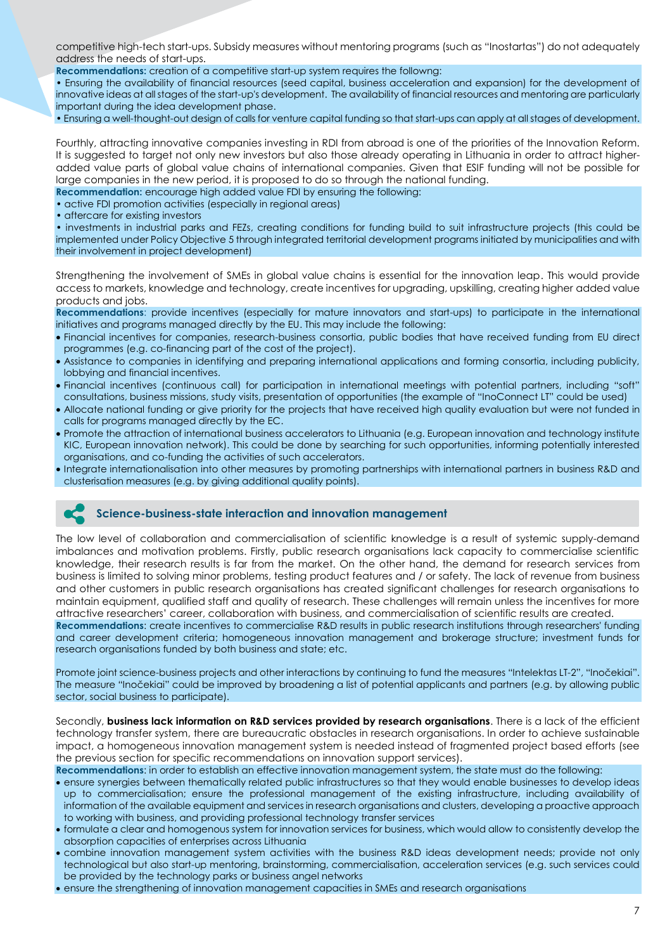competitive high-tech start-ups. Subsidy measures without mentoring programs (such as "Inostartas") do not adequately address the needs of start-ups.

**Recommendations:** creation of a competitive start-up system requires the followng:

• Ensuring the availability of financial resources (seed capital, business acceleration and expansion) for the development of innovative ideas at all stages of the start-up's development. The availability of financial resources and mentoring are particularly important during the idea development phase.

• Ensuring a well-thought-out design of calls for venture capital funding so that start-ups can apply at all stages of development.

Fourthly, attracting innovative companies investing in RDI from abroad is one of the priorities of the Innovation Reform. It is suggested to target not only new investors but also those already operating in Lithuania in order to attract higheradded value parts of global value chains of international companies. Given that ESIF funding will not be possible for large companies in the new period, it is proposed to do so through the national funding.

**Recommendation:** encourage high added value FDI by ensuring the following:

• active FDI promotion activities (especially in regional areas)

• aftercare for existing investors

• investments in industrial parks and FEZs, creating conditions for funding build to suit infrastructure projects (this could be implemented under Policy Objective 5 through integrated territorial development programs initiated by municipalities and with their involvement in project development)

Strengthening the involvement of SMEs in global value chains is essential for the innovation leap. This would provide access to markets, knowledge and technology, create incentives for upgrading, upskilling, creating higher added value products and jobs.

**Recommendations**: provide incentives (especially for mature innovators and start-ups) to participate in the international initiatives and programs managed directly by the EU. This may include the following:

- Financial incentives for companies, research-business consortia, public bodies that have received funding from EU direct programmes (e.g. co-financing part of the cost of the project).
- Assistance to companies in identifying and preparing international applications and forming consortia, including publicity, lobbying and financial incentives.
- Financial incentives (continuous call) for participation in international meetings with potential partners, including "soft" consultations, business missions, study visits, presentation of opportunities (the example of "InoConnect LT" could be used)
- Allocate national funding or give priority for the projects that have received high quality evaluation but were not funded in calls for programs managed directly by the EC.
- Promote the attraction of international business accelerators to Lithuania (e.g. European innovation and technology institute KIC, European innovation network). This could be done by searching for such opportunities, informing potentially interested organisations, and co-funding the activities of such accelerators.
- Integrate internationalisation into other measures by promoting partnerships with international partners in business R&D and clusterisation measures (e.g. by giving additional quality points).

### **Science-business-state interaction and innovation management**

The low level of collaboration and commercialisation of scientific knowledge is a result of systemic supply-demand imbalances and motivation problems. Firstly, public research organisations lack capacity to commercialise scientific knowledge, their research results is far from the market. On the other hand, the demand for research services from business is limited to solving minor problems, testing product features and / or safety. The lack of revenue from business and other customers in public research organisations has created significant challenges for research organisations to maintain equipment, qualified staff and quality of research. These challenges will remain unless the incentives for more attractive researchers' career, collaboration with business, and commercialisation of scientific results are created.

**Recommendations**: create incentives to commercialise R&D results in public research institutions through researchers' funding and career development criteria; homogeneous innovation management and brokerage structure; investment funds for research organisations funded by both business and state; etc.

Promote joint science-business projects and other interactions by continuing to fund the measures "Intelektas LT-2", "Inočekiai". The measure "Inočekiai" could be improved by broadening a list of potential applicants and partners (e.g. by allowing public sector, social business to participate).

Secondly, **business lack information on R&D services provided by research organisations**. There is a lack of the efficient technology transfer system, there are bureaucratic obstacles in research organisations. In order to achieve sustainable impact, a homogeneous innovation management system is needed instead of fragmented project based efforts (see the previous section for specific recommendations on innovation support services).

**Recommendations**: in order to establish an effective innovation management system, the state must do the following:

- ensure synergies between thematically related public infrastructures so that they would enable businesses to develop ideas up to commercialisation; ensure the professional management of the existing infrastructure, including availability of information of the available equipment and services in research organisations and clusters, developing a proactive approach to working with business, and providing professional technology transfer services
- formulate a clear and homogenous system for innovation services for business, which would allow to consistently develop the absorption capacities of enterprises across Lithuania
- combine innovation management system activities with the business R&D ideas development needs; provide not only technological but also start-up mentoring, brainstorming, commercialisation, acceleration services (e.g. such services could be provided by the technology parks or business angel networks
- ensure the strengthening of innovation management capacities in SMEs and research organisations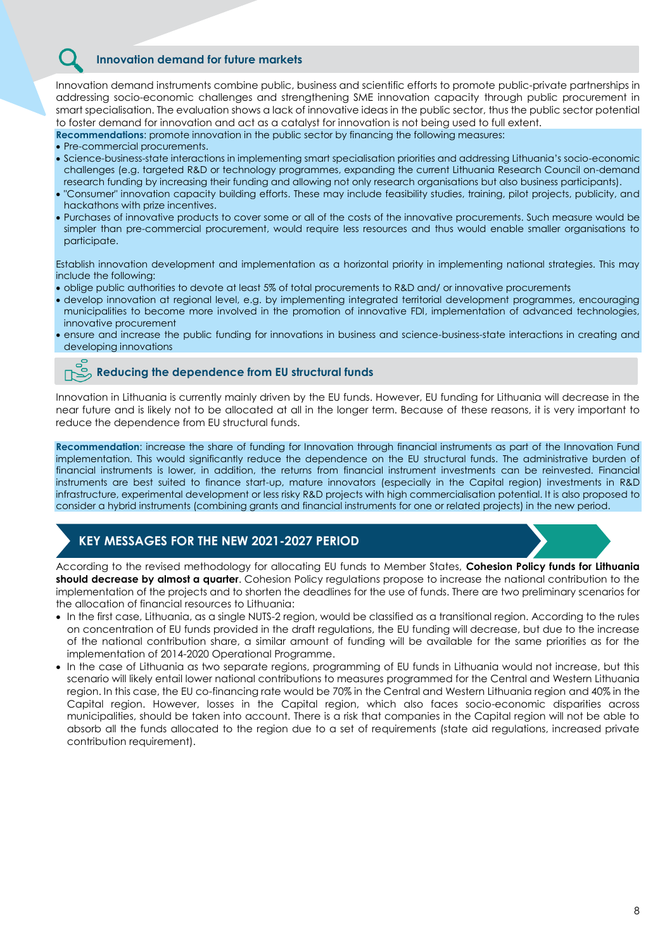### **Innovation demand for future markets**

Innovation demand instruments combine public, business and scientific efforts to promote public-private partnerships in addressing socio-economic challenges and strengthening SME innovation capacity through public procurement in smart specialisation. The evaluation shows a lack of innovative ideas in the public sector, thus the public sector potential to foster demand for innovation and act as a catalyst for innovation is not being used to full extent.

**Recommendations**: promote innovation in the public sector by financing the following measures:

- Pre-commercial procurements.
- Science-business-state interactions in implementing smart specialisation priorities and addressing Lithuania's socio-economic challenges (e.g. targeted R&D or technology programmes, expanding the current Lithuania Research Council on-demand research funding by increasing their funding and allowing not only research organisations but also business participants).
- "Consumer" innovation capacity building efforts. These may include feasibility studies, training, pilot projects, publicity, and hackathons with prize incentives.
- Purchases of innovative products to cover some or all of the costs of the innovative procurements. Such measure would be simpler than pre-commercial procurement, would require less resources and thus would enable smaller organisations to participate.

Establish innovation development and implementation as a horizontal priority in implementing national strategies. This may include the following:

- oblige public authorities to devote at least 5% of total procurements to R&D and/ or innovative procurements
- develop innovation at regional level, e.g. by implementing integrated territorial development programmes, encouraging municipalities to become more involved in the promotion of innovative FDI, implementation of advanced technologies, innovative procurement
- ensure and increase the public funding for innovations in business and science-business-state interactions in creating and developing innovations

### **Reducing the dependence from EU structural funds**

Innovation in Lithuania is currently mainly driven by the EU funds. However, EU funding for Lithuania will decrease in the near future and is likely not to be allocated at all in the longer term. Because of these reasons, it is very important to reduce the dependence from EU structural funds.

**Recommendation**: increase the share of funding for Innovation through financial instruments as part of the Innovation Fund implementation. This would significantly reduce the dependence on the EU structural funds. The administrative burden of financial instruments is lower, in addition, the returns from financial instrument investments can be reinvested. Financial instruments are best suited to finance start-up, mature innovators (especially in the Capital region) investments in R&D infrastructure, experimental development or less risky R&D projects with high commercialisation potential. It is also proposed to consider a hybrid instruments (combining grants and financial instruments for one or related projects) in the new period.

## **KEY MESSAGES FOR THE NEW 2021-2027 PERIOD**

According to the revised methodology for allocating EU funds to Member States, **Cohesion Policy funds for Lithuania should decrease by almost a quarter**. Cohesion Policy regulations propose to increase the national contribution to the implementation of the projects and to shorten the deadlines for the use of funds. There are two preliminary scenarios for the allocation of financial resources to Lithuania:

- In the first case, Lithuania, as a single NUTS-2 region, would be classified as a transitional region. According to the rules on concentration of EU funds provided in the draft regulations, the EU funding will decrease, but due to the increase of the national contribution share, a similar amount of funding will be available for the same priorities as for the implementation of 2014-2020 Operational Programme.
- In the case of Lithuania as two separate regions, programming of EU funds in Lithuania would not increase, but this scenario will likely entail lower national contributions to measures programmed for the Central and Western Lithuania region. In this case, the EU co-financing rate would be 70% in the Central and Western Lithuania region and 40% in the Capital region. However, losses in the Capital region, which also faces socio-economic disparities across municipalities, should be taken into account. There is a risk that companies in the Capital region will not be able to absorb all the funds allocated to the region due to a set of requirements (state aid regulations, increased private contribution requirement).